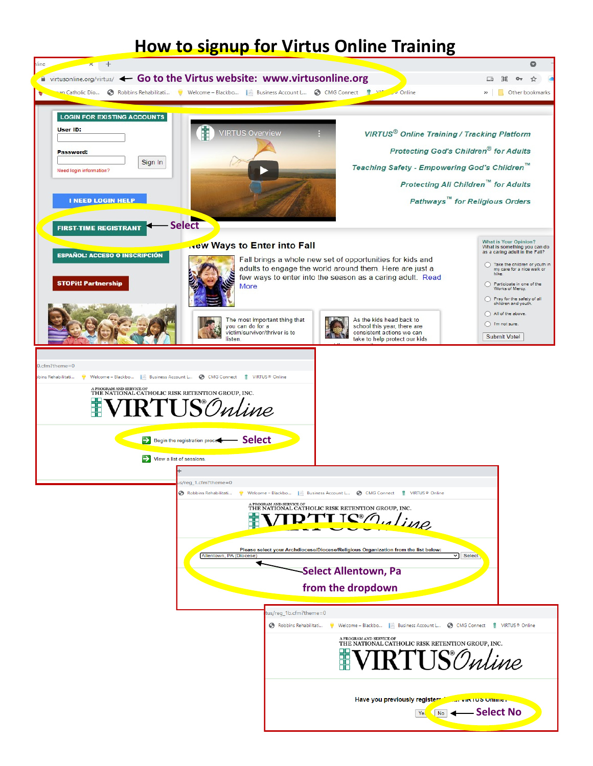## **How to signup for Virtus Online Training**

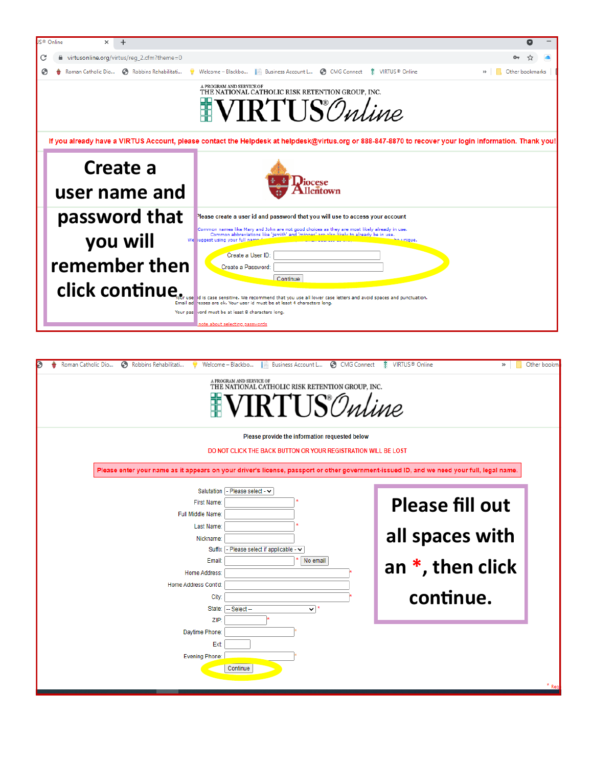

| Roman Catholic Dio<br>Robbins Rehabilitati<br>Welcome - Blackbo<br>CMG Connect<br>Business Account L                                      | <b>I</b> VIRTUS <sup>®</sup> Online<br>Other bookm<br>>> |
|-------------------------------------------------------------------------------------------------------------------------------------------|----------------------------------------------------------|
| A PROGRAM AND SERVICE OF<br>THE NATIONAL CATHOLIC RISK RETENTION GROUP, INC.                                                              |                                                          |
| RTI IS Online                                                                                                                             |                                                          |
| Please provide the information requested below                                                                                            |                                                          |
| DO NOT CLICK THE BACK BUTTON OR YOUR REGISTRATION WILL BE LOST                                                                            |                                                          |
| Please enter your name as it appears on your driver's license, passport or other government-issued ID, and we need your full, legal name. |                                                          |
| - Please select - $\vee$                                                                                                                  |                                                          |
| Salutation<br>First Name:                                                                                                                 | <b>Please fill out</b>                                   |
| Full Middle Name:                                                                                                                         |                                                          |
| Last Name:                                                                                                                                |                                                          |
| Nickname:                                                                                                                                 | all spaces with                                          |
| - Please select if applicable - v<br>Suffix                                                                                               |                                                          |
| Email:<br>No email                                                                                                                        | an $*$ , then click                                      |
| <b>Home Address:</b>                                                                                                                      |                                                          |
| Home Address Cont'd:                                                                                                                      |                                                          |
| City:                                                                                                                                     | continue.                                                |
| State:<br>-- Select --<br>$\mathbf{v}$ $^*$<br>ZIP:                                                                                       |                                                          |
| Daytime Phone:                                                                                                                            |                                                          |
| Ext:                                                                                                                                      |                                                          |
| <b>Evening Phone:</b>                                                                                                                     |                                                          |
| Continue                                                                                                                                  |                                                          |
|                                                                                                                                           |                                                          |
|                                                                                                                                           |                                                          |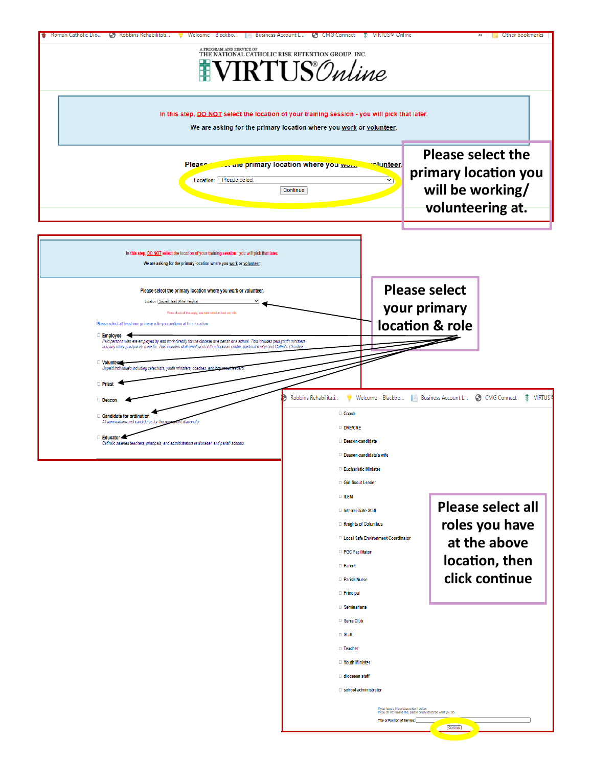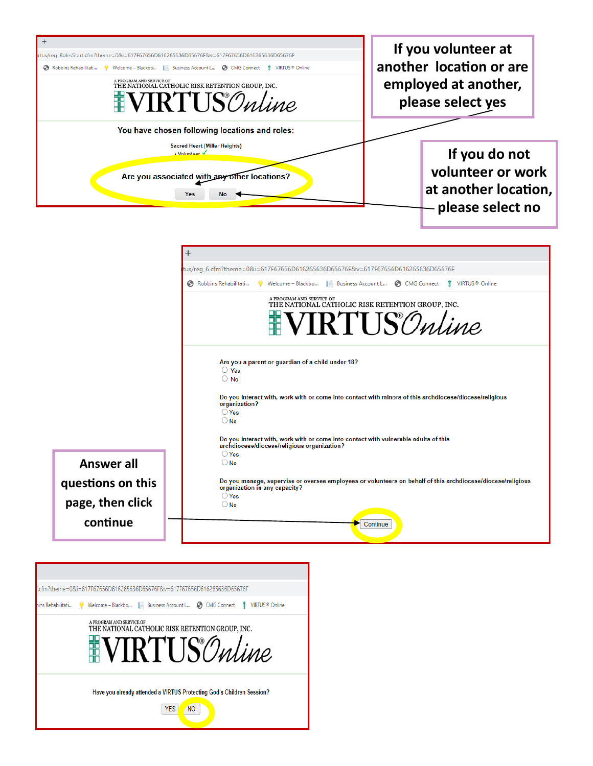

|                   | tus/req_6.cfm?theme=0&i=617F67656D616265636D65676F&v=617F67656D616265636D65676F                                                                            |  |  |  |  |  |
|-------------------|------------------------------------------------------------------------------------------------------------------------------------------------------------|--|--|--|--|--|
|                   | Robbins Rehabilitati<br>Welcome - Blackbo   Business Account L 6 CMG Connect<br><b>IE</b> VIRTUS <sup>®</sup> Online                                       |  |  |  |  |  |
|                   | A PROGRAM AND SERVICE OF<br>THE NATIONAL CATHOLIC RISK RETENTION GROUP, INC.<br><b>VIRTUS</b> Online                                                       |  |  |  |  |  |
|                   | Are you a parent or guardian of a child under 18?<br>$\bigcirc$ Yes<br>$\bigcirc$ No                                                                       |  |  |  |  |  |
|                   | Do you interact with, work with or come into contact with minors of this archdiocese/diocese/religious<br>organization?<br>$\bigcirc$ Yes<br>$\bigcirc$ No |  |  |  |  |  |
|                   | Do you interact with, work with or come into contact with vulnerable adults of this<br>archdiocese/diocese/religious organization?                         |  |  |  |  |  |
| Answer all        | $\bigcirc$ Yes<br>$\bigcirc$ No                                                                                                                            |  |  |  |  |  |
| questions on this | Do you manage, supervise or oversee employees or volunteers on behalf of this archdiocese/diocese/religious<br>organization in any capacity?               |  |  |  |  |  |
| page, then click  | $\bigcirc$ Yes<br>$\bigcirc$ No                                                                                                                            |  |  |  |  |  |
| continue          | Continue                                                                                                                                                   |  |  |  |  |  |

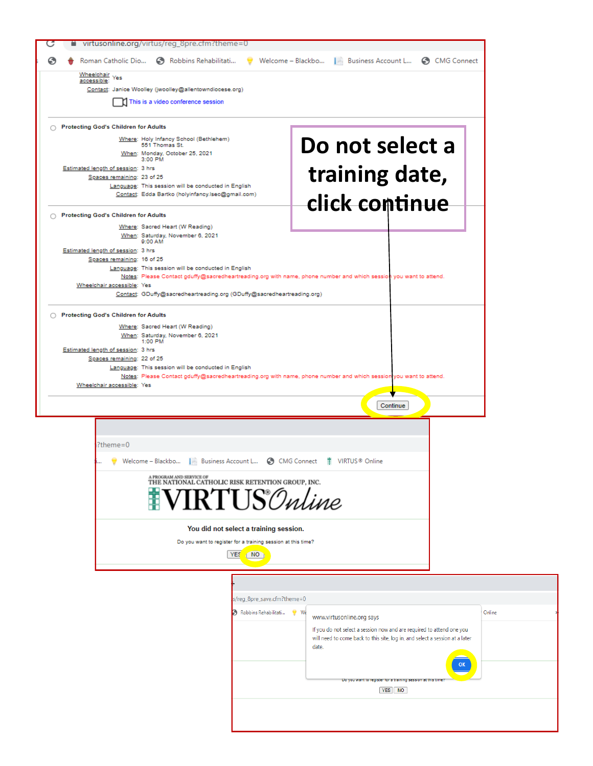|                                                              | virtusonline.org/virtus/reg_8pre.cfm?theme=0                                                                                                                             |                                                                                                    |        |  |  |  |
|--------------------------------------------------------------|--------------------------------------------------------------------------------------------------------------------------------------------------------------------------|----------------------------------------------------------------------------------------------------|--------|--|--|--|
|                                                              |                                                                                                                                                                          | Roman Catholic Dio (5) Robbins Rehabilitati v Welcome - Blackbo Business Account L (5) CMG Connect |        |  |  |  |
| Wheelchair<br>Yes<br>accessible:                             |                                                                                                                                                                          |                                                                                                    |        |  |  |  |
|                                                              | Contact: Janice Woolley (jwoolley@allentowndiocese.org)                                                                                                                  |                                                                                                    |        |  |  |  |
| This is a video conference session                           |                                                                                                                                                                          |                                                                                                    |        |  |  |  |
| ◯ Protecting God's Children for Adults                       |                                                                                                                                                                          |                                                                                                    |        |  |  |  |
|                                                              | Where: Holy Infancy School (Bethlehem)<br>Do not select a<br>551 Thomas St.                                                                                              |                                                                                                    |        |  |  |  |
|                                                              | When: Monday, October 25, 2021<br>3:00 PM                                                                                                                                |                                                                                                    |        |  |  |  |
|                                                              | Estimated length of session: 3 hrs<br>Spaces remaining: 23 of 25                                                                                                         | training date,                                                                                     |        |  |  |  |
|                                                              | Language: This session will be conducted in English<br>Contact: Edda Bartko (holyinfancy.lsec@gmail.com)                                                                 |                                                                                                    |        |  |  |  |
|                                                              | ◯ Protecting God's Children for Adults                                                                                                                                   | click continue                                                                                     |        |  |  |  |
|                                                              | Where: Sacred Heart (W Reading)                                                                                                                                          |                                                                                                    |        |  |  |  |
|                                                              | When: Saturday, November 6, 2021<br>9:00 AM<br>Estimated length of session: 3 hrs                                                                                        |                                                                                                    |        |  |  |  |
|                                                              | Spaces remaining: 16 of 25                                                                                                                                               |                                                                                                    |        |  |  |  |
|                                                              | Language: This session will be conducted in English<br>Notes: Please Contact gduffy@sacredheartreading.org with name, phone number and which session you want to attend. |                                                                                                    |        |  |  |  |
|                                                              | Wheelchair accessible: Yes<br>Contact: GDuffy@sacredheartreading.org (GDuffy@sacredheartreading.org)                                                                     |                                                                                                    |        |  |  |  |
|                                                              | ◯ Protecting God's Children for Adults                                                                                                                                   |                                                                                                    |        |  |  |  |
|                                                              | Where: Sacred Heart (W Reading)                                                                                                                                          |                                                                                                    |        |  |  |  |
|                                                              | When: Saturday, November 6, 2021<br>1:00 PM<br>Estimated length of session: 3 hrs                                                                                        |                                                                                                    |        |  |  |  |
|                                                              | Spaces remaining: 22 of 25                                                                                                                                               |                                                                                                    |        |  |  |  |
|                                                              | Language: This session will be conducted in English<br>Notes: Please Contact gduffy@sacredheartreading.org with name, phone number and which session you want to attend. |                                                                                                    |        |  |  |  |
|                                                              | Wheelchair accessible: Yes                                                                                                                                               |                                                                                                    |        |  |  |  |
|                                                              |                                                                                                                                                                          | Continue                                                                                           |        |  |  |  |
|                                                              |                                                                                                                                                                          |                                                                                                    |        |  |  |  |
|                                                              | $?$ theme=0                                                                                                                                                              |                                                                                                    |        |  |  |  |
|                                                              | Welcome - Blackbo   Business Account L @ CMG Connect # VIRTUS® Online                                                                                                    |                                                                                                    |        |  |  |  |
|                                                              | A PROGRAM AND SERVICE OF<br>THE NATIONAL CATHOLIC RISK RETENTION GROUP, INC.                                                                                             |                                                                                                    |        |  |  |  |
|                                                              | <b>NRTUS</b> Online                                                                                                                                                      |                                                                                                    |        |  |  |  |
|                                                              |                                                                                                                                                                          |                                                                                                    |        |  |  |  |
|                                                              | You did not select a training session.                                                                                                                                   |                                                                                                    |        |  |  |  |
| Do you want to register for a training session at this time? |                                                                                                                                                                          |                                                                                                    |        |  |  |  |
|                                                              | <b>YES</b><br>NO                                                                                                                                                         |                                                                                                    |        |  |  |  |
|                                                              |                                                                                                                                                                          |                                                                                                    |        |  |  |  |
|                                                              | s/reg_8pre_save.cfm?theme=0                                                                                                                                              |                                                                                                    |        |  |  |  |
|                                                              | Robbins Rehabilitati                                                                                                                                                     | $W_{s}$<br>www.virtusonline.org says                                                               | Online |  |  |  |
|                                                              |                                                                                                                                                                          | If you do not select a session now and are required to attend one you                              |        |  |  |  |
|                                                              |                                                                                                                                                                          | will need to come back to this site, log in, and select a session at a later<br>date.              |        |  |  |  |
| <b>OK</b>                                                    |                                                                                                                                                                          |                                                                                                    |        |  |  |  |
| Do you want to register for a training session at this ti    |                                                                                                                                                                          |                                                                                                    |        |  |  |  |
| YES NO                                                       |                                                                                                                                                                          |                                                                                                    |        |  |  |  |
|                                                              |                                                                                                                                                                          |                                                                                                    |        |  |  |  |
|                                                              |                                                                                                                                                                          |                                                                                                    |        |  |  |  |